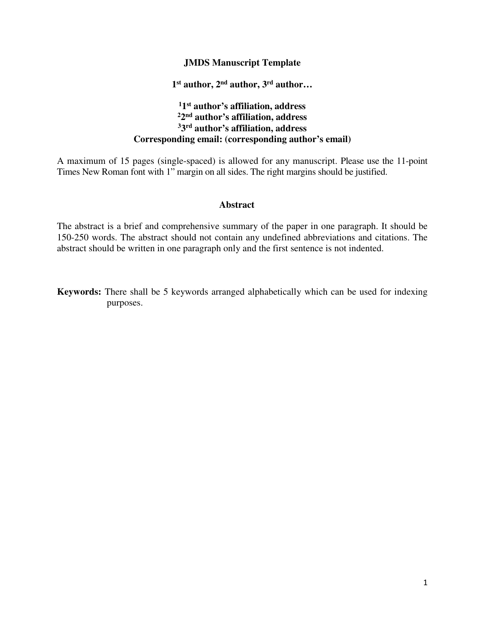# **JMDS Manuscript Template**

**1 st author, 2nd author, 3rd author…**

# **11 st author's affiliation, address 22 nd author's affiliation, address 33 rd author's affiliation, address Corresponding email: (corresponding author's email)**

A maximum of 15 pages (single-spaced) is allowed for any manuscript. Please use the 11-point Times New Roman font with 1" margin on all sides. The right margins should be justified.

## **Abstract**

The abstract is a brief and comprehensive summary of the paper in one paragraph. It should be 150-250 words. The abstract should not contain any undefined abbreviations and citations. The abstract should be written in one paragraph only and the first sentence is not indented.

**Keywords:** There shall be 5 keywords arranged alphabetically which can be used for indexing purposes.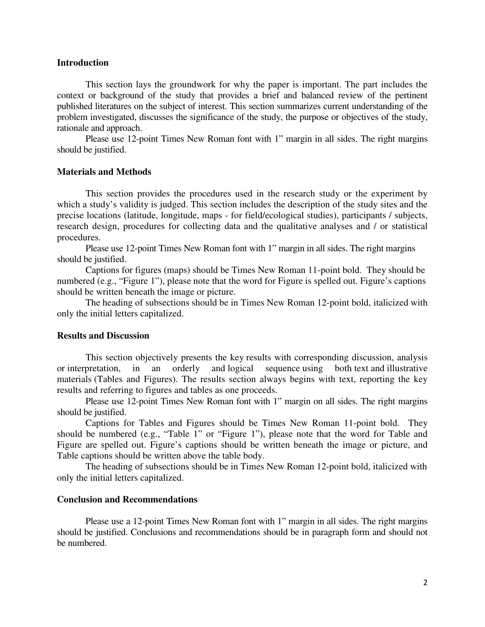## **Introduction**

This section lays the groundwork for why the paper is important. The part includes the context or background of the study that provides a brief and balanced review of the pertinent published literatures on the subject of interest. This section summarizes current understanding of the problem investigated, discusses the significance of the study, the purpose or objectives of the study, rationale and approach.

Please use 12-point Times New Roman font with 1" margin in all sides. The right margins should be justified.

#### **Materials and Methods**

 This section provides the procedures used in the research study or the experiment by which a study's validity is judged. This section includes the description of the study sites and the precise locations (latitude, longitude, maps - for field/ecological studies), participants / subjects, research design, procedures for collecting data and the qualitative analyses and / or statistical procedures.

Please use 12-point Times New Roman font with 1" margin in all sides. The right margins should be justified.

Captions for figures (maps) should be Times New Roman 11-point bold. They should be numbered (e.g., "Figure 1"), please note that the word for Figure is spelled out. Figure's captions should be written beneath the image or picture.

 The heading of subsections should be in Times New Roman 12-point bold, italicized with only the initial letters capitalized.

## **Results and Discussion**

This section objectively presents the key results with corresponding discussion, analysis or interpretation, in an orderly and logical sequence using both text and illustrative materials (Tables and Figures). The results section always begins with text, reporting the key results and referring to figures and tables as one proceeds.

Please use 12-point Times New Roman font with 1" margin on all sides. The right margins should be justified.

Captions for Tables and Figures should be Times New Roman 11-point bold. They should be numbered (e.g., "Table 1" or "Figure 1"), please note that the word for Table and Figure are spelled out. Figure's captions should be written beneath the image or picture, and Table captions should be written above the table body.

The heading of subsections should be in Times New Roman 12-point bold, italicized with only the initial letters capitalized.

### **Conclusion and Recommendations**

Please use a 12-point Times New Roman font with 1" margin in all sides. The right margins should be justified. Conclusions and recommendations should be in paragraph form and should not be numbered.